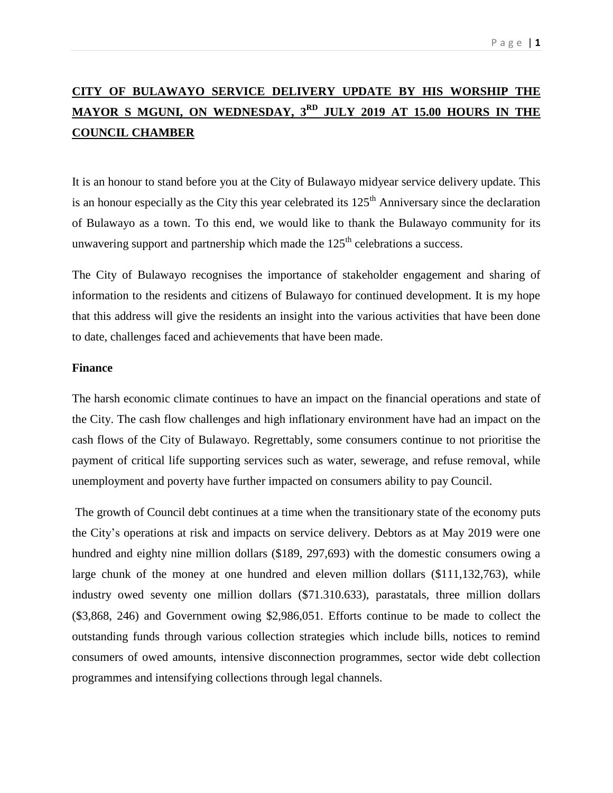# **CITY OF BULAWAYO SERVICE DELIVERY UPDATE BY HIS WORSHIP THE MAYOR S MGUNI, ON WEDNESDAY, 3 RD JULY 2019 AT 15.00 HOURS IN THE COUNCIL CHAMBER**

It is an honour to stand before you at the City of Bulawayo midyear service delivery update. This is an honour especially as the City this year celebrated its  $125<sup>th</sup>$  Anniversary since the declaration of Bulawayo as a town. To this end, we would like to thank the Bulawayo community for its unwavering support and partnership which made the  $125<sup>th</sup>$  celebrations a success.

The City of Bulawayo recognises the importance of stakeholder engagement and sharing of information to the residents and citizens of Bulawayo for continued development. It is my hope that this address will give the residents an insight into the various activities that have been done to date, challenges faced and achievements that have been made.

#### **Finance**

The harsh economic climate continues to have an impact on the financial operations and state of the City. The cash flow challenges and high inflationary environment have had an impact on the cash flows of the City of Bulawayo. Regrettably, some consumers continue to not prioritise the payment of critical life supporting services such as water, sewerage, and refuse removal, while unemployment and poverty have further impacted on consumers ability to pay Council.

The growth of Council debt continues at a time when the transitionary state of the economy puts the City's operations at risk and impacts on service delivery. Debtors as at May 2019 were one hundred and eighty nine million dollars (\$189, 297,693) with the domestic consumers owing a large chunk of the money at one hundred and eleven million dollars (\$111,132,763), while industry owed seventy one million dollars (\$71.310.633), parastatals, three million dollars (\$3,868, 246) and Government owing \$2,986,051. Efforts continue to be made to collect the outstanding funds through various collection strategies which include bills, notices to remind consumers of owed amounts, intensive disconnection programmes, sector wide debt collection programmes and intensifying collections through legal channels.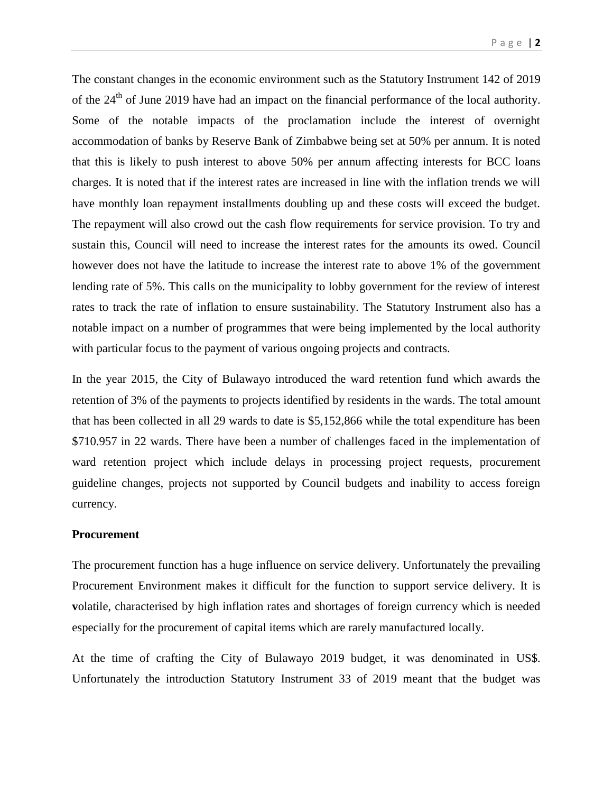The constant changes in the economic environment such as the Statutory Instrument 142 of 2019 of the  $24<sup>th</sup>$  of June 2019 have had an impact on the financial performance of the local authority. Some of the notable impacts of the proclamation include the interest of overnight accommodation of banks by Reserve Bank of Zimbabwe being set at 50% per annum. It is noted that this is likely to push interest to above 50% per annum affecting interests for BCC loans charges. It is noted that if the interest rates are increased in line with the inflation trends we will have monthly loan repayment installments doubling up and these costs will exceed the budget. The repayment will also crowd out the cash flow requirements for service provision. To try and sustain this, Council will need to increase the interest rates for the amounts its owed. Council however does not have the latitude to increase the interest rate to above 1% of the government lending rate of 5%. This calls on the municipality to lobby government for the review of interest rates to track the rate of inflation to ensure sustainability. The Statutory Instrument also has a notable impact on a number of programmes that were being implemented by the local authority with particular focus to the payment of various ongoing projects and contracts.

In the year 2015, the City of Bulawayo introduced the ward retention fund which awards the retention of 3% of the payments to projects identified by residents in the wards. The total amount that has been collected in all 29 wards to date is \$5,152,866 while the total expenditure has been \$710.957 in 22 wards. There have been a number of challenges faced in the implementation of ward retention project which include delays in processing project requests, procurement guideline changes, projects not supported by Council budgets and inability to access foreign currency.

### **Procurement**

The procurement function has a huge influence on service delivery. Unfortunately the prevailing Procurement Environment makes it difficult for the function to support service delivery. It is **v**olatile, characterised by high inflation rates and shortages of foreign currency which is needed especially for the procurement of capital items which are rarely manufactured locally.

At the time of crafting the City of Bulawayo 2019 budget, it was denominated in US\$. Unfortunately the introduction Statutory Instrument 33 of 2019 meant that the budget was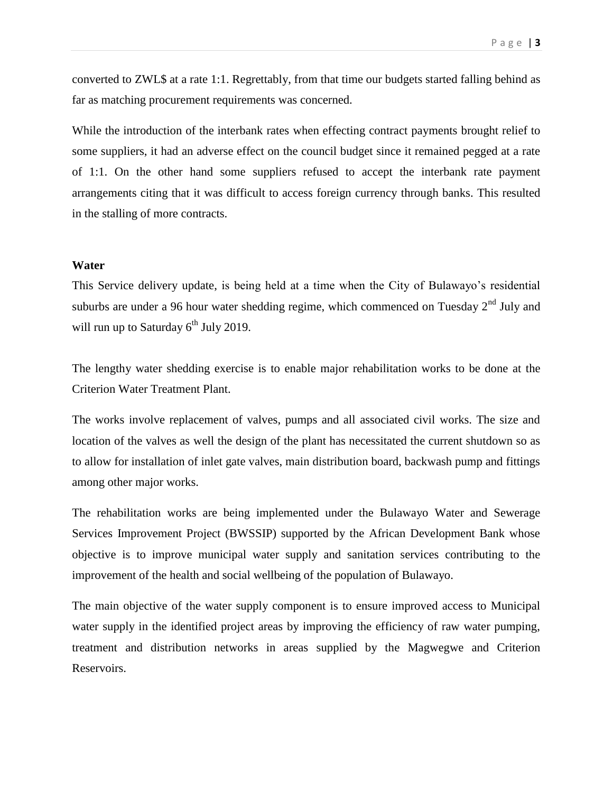converted to ZWL\$ at a rate 1:1. Regrettably, from that time our budgets started falling behind as far as matching procurement requirements was concerned.

While the introduction of the interbank rates when effecting contract payments brought relief to some suppliers, it had an adverse effect on the council budget since it remained pegged at a rate of 1:1. On the other hand some suppliers refused to accept the interbank rate payment arrangements citing that it was difficult to access foreign currency through banks. This resulted in the stalling of more contracts.

#### **Water**

This Service delivery update, is being held at a time when the City of Bulawayo's residential suburbs are under a 96 hour water shedding regime, which commenced on Tuesday  $2<sup>nd</sup>$  July and will run up to Saturday 6<sup>th</sup> July 2019.

The lengthy water shedding exercise is to enable major rehabilitation works to be done at the Criterion Water Treatment Plant.

The works involve replacement of valves, pumps and all associated civil works. The size and location of the valves as well the design of the plant has necessitated the current shutdown so as to allow for installation of inlet gate valves, main distribution board, backwash pump and fittings among other major works.

The rehabilitation works are being implemented under the Bulawayo Water and Sewerage Services Improvement Project (BWSSIP) supported by the African Development Bank whose objective is to improve municipal water supply and sanitation services contributing to the improvement of the health and social wellbeing of the population of Bulawayo.

The main objective of the water supply component is to ensure improved access to Municipal water supply in the identified project areas by improving the efficiency of raw water pumping, treatment and distribution networks in areas supplied by the Magwegwe and Criterion Reservoirs.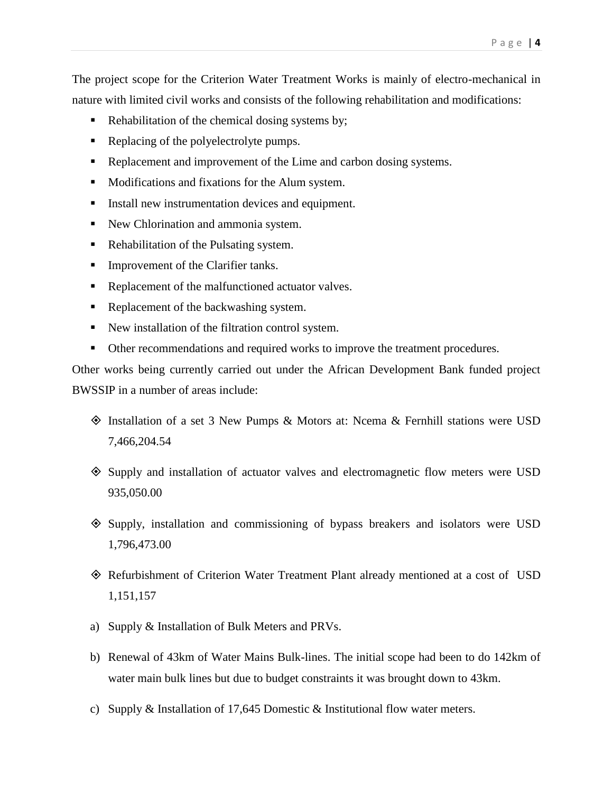The project scope for the Criterion Water Treatment Works is mainly of electro-mechanical in nature with limited civil works and consists of the following rehabilitation and modifications:

- Rehabilitation of the chemical dosing systems by;
- Replacing of the polyelectrolyte pumps.
- Replacement and improvement of the Lime and carbon dosing systems.
- **Modifications and fixations for the Alum system.**
- Install new instrumentation devices and equipment.
- New Chlorination and ammonia system.
- Rehabilitation of the Pulsating system.
- **Improvement of the Clarifier tanks.**
- Replacement of the malfunctioned actuator valves.
- Replacement of the backwashing system.
- New installation of the filtration control system.
- Other recommendations and required works to improve the treatment procedures.

Other works being currently carried out under the African Development Bank funded project BWSSIP in a number of areas include:

- Installation of a set 3 New Pumps & Motors at: Ncema & Fernhill stations were USD 7,466,204.54
- Supply and installation of actuator valves and electromagnetic flow meters were USD 935,050.00
- Supply, installation and commissioning of bypass breakers and isolators were USD 1,796,473.00
- Refurbishment of Criterion Water Treatment Plant already mentioned at a cost of USD 1,151,157
- a) Supply & Installation of Bulk Meters and PRVs.
- b) Renewal of 43km of Water Mains Bulk-lines. The initial scope had been to do 142km of water main bulk lines but due to budget constraints it was brought down to 43km.
- c) Supply & Installation of 17,645 Domestic & Institutional flow water meters.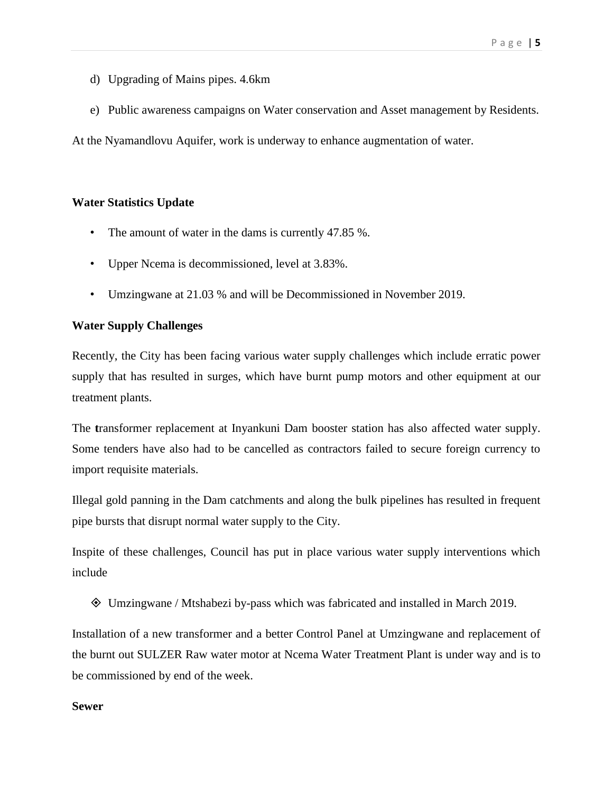- d) Upgrading of Mains pipes. 4.6km
- e) Public awareness campaigns on Water conservation and Asset management by Residents.

At the Nyamandlovu Aquifer, work is underway to enhance augmentation of water.

## **Water Statistics Update**

- The amount of water in the dams is currently 47.85 %.
- Upper Ncema is decommissioned, level at 3.83%.
- Umzingwane at 21.03 % and will be Decommissioned in November 2019.

## **Water Supply Challenges**

Recently, the City has been facing various water supply challenges which include erratic power supply that has resulted in surges, which have burnt pump motors and other equipment at our treatment plants.

The **t**ransformer replacement at Inyankuni Dam booster station has also affected water supply. Some tenders have also had to be cancelled as contractors failed to secure foreign currency to import requisite materials.

Illegal gold panning in the Dam catchments and along the bulk pipelines has resulted in frequent pipe bursts that disrupt normal water supply to the City.

Inspite of these challenges, Council has put in place various water supply interventions which include

Umzingwane / Mtshabezi by-pass which was fabricated and installed in March 2019.

Installation of a new transformer and a better Control Panel at Umzingwane and replacement of the burnt out SULZER Raw water motor at Ncema Water Treatment Plant is under way and is to be commissioned by end of the week.

### **Sewer**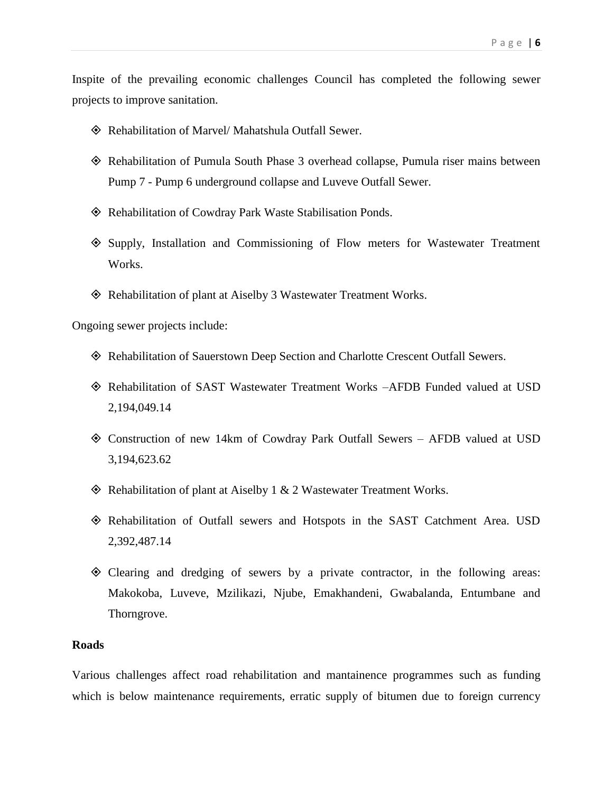Inspite of the prevailing economic challenges Council has completed the following sewer projects to improve sanitation.

- Rehabilitation of Marvel/ Mahatshula Outfall Sewer.
- Rehabilitation of Pumula South Phase 3 overhead collapse, Pumula riser mains between Pump 7 - Pump 6 underground collapse and Luveve Outfall Sewer.
- Rehabilitation of Cowdray Park Waste Stabilisation Ponds.
- Supply, Installation and Commissioning of Flow meters for Wastewater Treatment Works.
- Rehabilitation of plant at Aiselby 3 Wastewater Treatment Works.

Ongoing sewer projects include:

- Rehabilitation of Sauerstown Deep Section and Charlotte Crescent Outfall Sewers.
- Rehabilitation of SAST Wastewater Treatment Works –AFDB Funded valued at USD 2,194,049.14
- Construction of new 14km of Cowdray Park Outfall Sewers AFDB valued at USD 3,194,623.62
- $\Diamond$  Rehabilitation of plant at Aiselby 1 & 2 Wastewater Treatment Works.
- Rehabilitation of Outfall sewers and Hotspots in the SAST Catchment Area. USD 2,392,487.14
- Clearing and dredging of sewers by a private contractor, in the following areas: Makokoba, Luveve, Mzilikazi, Njube, Emakhandeni, Gwabalanda, Entumbane and Thorngrove.

#### **Roads**

Various challenges affect road rehabilitation and mantainence programmes such as funding which is below maintenance requirements, erratic supply of bitumen due to foreign currency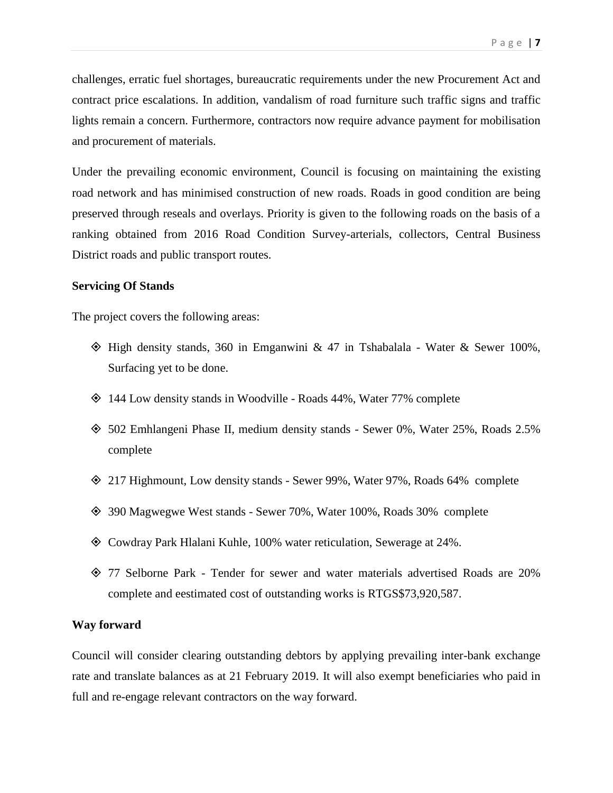challenges, erratic fuel shortages, bureaucratic requirements under the new Procurement Act and contract price escalations. In addition, vandalism of road furniture such traffic signs and traffic lights remain a concern. Furthermore, contractors now require advance payment for mobilisation and procurement of materials.

Under the prevailing economic environment, Council is focusing on maintaining the existing road network and has minimised construction of new roads. Roads in good condition are being preserved through reseals and overlays. Priority is given to the following roads on the basis of a ranking obtained from 2016 Road Condition Survey-arterials, collectors, Central Business District roads and public transport routes.

### **Servicing Of Stands**

The project covers the following areas:

- $\Diamond$  High density stands, 360 in Emganwini & 47 in Tshabalala Water & Sewer 100%, Surfacing yet to be done.
- 144 Low density stands in Woodville Roads 44%, Water 77% complete
- 502 Emhlangeni Phase II, medium density stands Sewer 0%, Water 25%, Roads 2.5% complete
- 217 Highmount, Low density stands Sewer 99%, Water 97%, Roads 64% complete
- 390 Magwegwe West stands Sewer 70%, Water 100%, Roads 30% complete
- Cowdray Park Hlalani Kuhle, 100% water reticulation, Sewerage at 24%.
- 77 Selborne Park Tender for sewer and water materials advertised Roads are 20% complete and eestimated cost of outstanding works is RTGS\$73,920,587.

### **Way forward**

Council will consider clearing outstanding debtors by applying prevailing inter-bank exchange rate and translate balances as at 21 February 2019. It will also exempt beneficiaries who paid in full and re-engage relevant contractors on the way forward.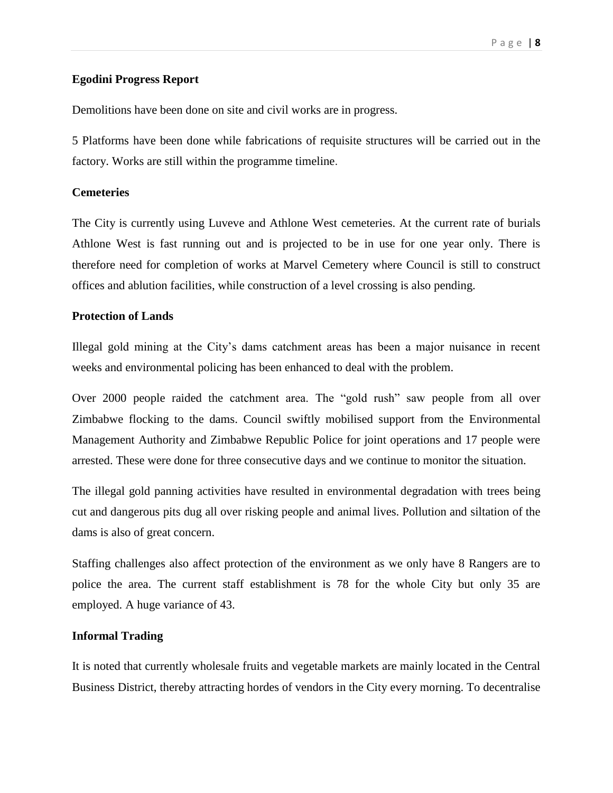## **Egodini Progress Report**

Demolitions have been done on site and civil works are in progress.

5 Platforms have been done while fabrications of requisite structures will be carried out in the factory. Works are still within the programme timeline.

#### **Cemeteries**

The City is currently using Luveve and Athlone West cemeteries. At the current rate of burials Athlone West is fast running out and is projected to be in use for one year only. There is therefore need for completion of works at Marvel Cemetery where Council is still to construct offices and ablution facilities, while construction of a level crossing is also pending.

## **Protection of Lands**

Illegal gold mining at the City's dams catchment areas has been a major nuisance in recent weeks and environmental policing has been enhanced to deal with the problem.

Over 2000 people raided the catchment area. The "gold rush" saw people from all over Zimbabwe flocking to the dams. Council swiftly mobilised support from the Environmental Management Authority and Zimbabwe Republic Police for joint operations and 17 people were arrested. These were done for three consecutive days and we continue to monitor the situation.

The illegal gold panning activities have resulted in environmental degradation with trees being cut and dangerous pits dug all over risking people and animal lives. Pollution and siltation of the dams is also of great concern.

Staffing challenges also affect protection of the environment as we only have 8 Rangers are to police the area. The current staff establishment is 78 for the whole City but only 35 are employed. A huge variance of 43.

### **Informal Trading**

It is noted that currently wholesale fruits and vegetable markets are mainly located in the Central Business District, thereby attracting hordes of vendors in the City every morning. To decentralise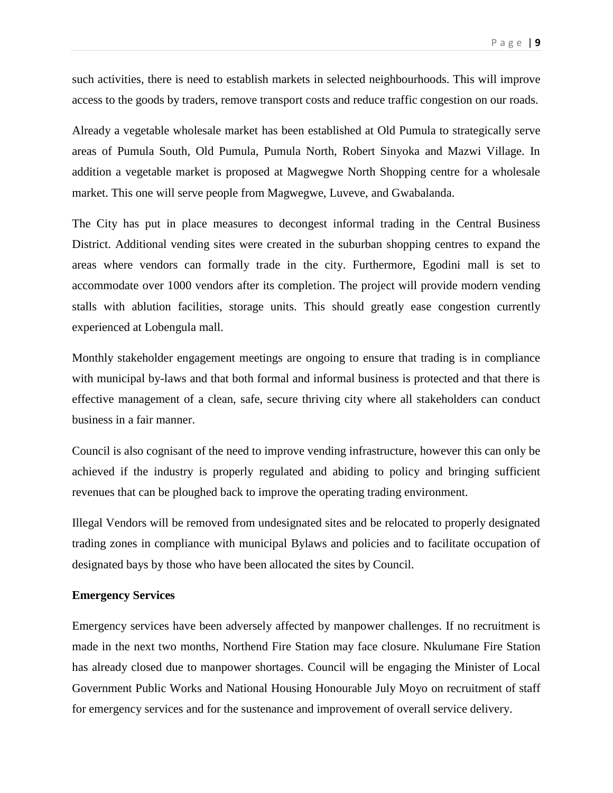such activities, there is need to establish markets in selected neighbourhoods. This will improve access to the goods by traders, remove transport costs and reduce traffic congestion on our roads.

Already a vegetable wholesale market has been established at Old Pumula to strategically serve areas of Pumula South, Old Pumula, Pumula North, Robert Sinyoka and Mazwi Village. In addition a vegetable market is proposed at Magwegwe North Shopping centre for a wholesale market. This one will serve people from Magwegwe, Luveve, and Gwabalanda.

The City has put in place measures to decongest informal trading in the Central Business District. Additional vending sites were created in the suburban shopping centres to expand the areas where vendors can formally trade in the city. Furthermore, Egodini mall is set to accommodate over 1000 vendors after its completion. The project will provide modern vending stalls with ablution facilities, storage units. This should greatly ease congestion currently experienced at Lobengula mall.

Monthly stakeholder engagement meetings are ongoing to ensure that trading is in compliance with municipal by-laws and that both formal and informal business is protected and that there is effective management of a clean, safe, secure thriving city where all stakeholders can conduct business in a fair manner.

Council is also cognisant of the need to improve vending infrastructure, however this can only be achieved if the industry is properly regulated and abiding to policy and bringing sufficient revenues that can be ploughed back to improve the operating trading environment.

Illegal Vendors will be removed from undesignated sites and be relocated to properly designated trading zones in compliance with municipal Bylaws and policies and to facilitate occupation of designated bays by those who have been allocated the sites by Council.

#### **Emergency Services**

Emergency services have been adversely affected by manpower challenges. If no recruitment is made in the next two months, Northend Fire Station may face closure. Nkulumane Fire Station has already closed due to manpower shortages. Council will be engaging the Minister of Local Government Public Works and National Housing Honourable July Moyo on recruitment of staff for emergency services and for the sustenance and improvement of overall service delivery.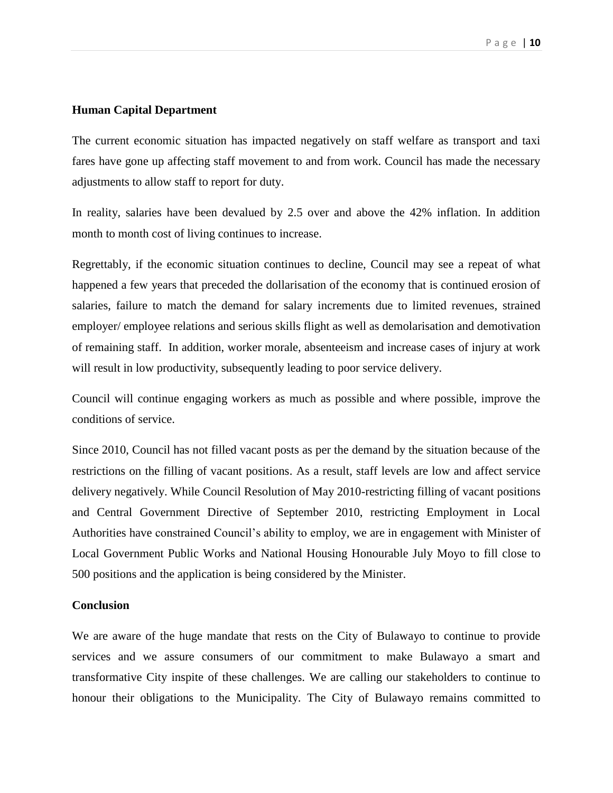#### **Human Capital Department**

The current economic situation has impacted negatively on staff welfare as transport and taxi fares have gone up affecting staff movement to and from work. Council has made the necessary adjustments to allow staff to report for duty.

In reality, salaries have been devalued by 2.5 over and above the 42% inflation. In addition month to month cost of living continues to increase.

Regrettably, if the economic situation continues to decline, Council may see a repeat of what happened a few years that preceded the dollarisation of the economy that is continued erosion of salaries, failure to match the demand for salary increments due to limited revenues, strained employer/ employee relations and serious skills flight as well as demolarisation and demotivation of remaining staff. In addition, worker morale, absenteeism and increase cases of injury at work will result in low productivity, subsequently leading to poor service delivery.

Council will continue engaging workers as much as possible and where possible, improve the conditions of service.

Since 2010, Council has not filled vacant posts as per the demand by the situation because of the restrictions on the filling of vacant positions. As a result, staff levels are low and affect service delivery negatively. While Council Resolution of May 2010-restricting filling of vacant positions and Central Government Directive of September 2010, restricting Employment in Local Authorities have constrained Council's ability to employ, we are in engagement with Minister of Local Government Public Works and National Housing Honourable July Moyo to fill close to 500 positions and the application is being considered by the Minister.

#### **Conclusion**

We are aware of the huge mandate that rests on the City of Bulawayo to continue to provide services and we assure consumers of our commitment to make Bulawayo a smart and transformative City inspite of these challenges. We are calling our stakeholders to continue to honour their obligations to the Municipality. The City of Bulawayo remains committed to